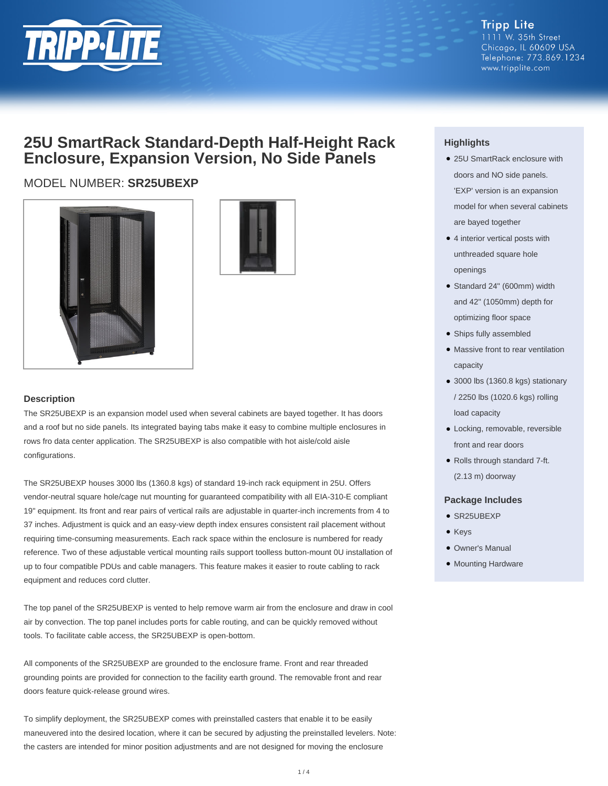

**Tripp Lite** 1111 W. 35th Street Chicago, IL 60609 USA Telephone: 773.869.1234 www.tripplite.com

# **25U SmartRack Standard-Depth Half-Height Rack Enclosure, Expansion Version, No Side Panels**

## MODEL NUMBER: **SR25UBEXP**





### **Description**

The SR25UBEXP is an expansion model used when several cabinets are bayed together. It has doors and a roof but no side panels. Its integrated baying tabs make it easy to combine multiple enclosures in rows fro data center application. The SR25UBEXP is also compatible with hot aisle/cold aisle configurations.

The SR25UBEXP houses 3000 lbs (1360.8 kgs) of standard 19-inch rack equipment in 25U. Offers vendor-neutral square hole/cage nut mounting for guaranteed compatibility with all EIA-310-E compliant 19" equipment. Its front and rear pairs of vertical rails are adjustable in quarter-inch increments from 4 to 37 inches. Adjustment is quick and an easy-view depth index ensures consistent rail placement without requiring time-consuming measurements. Each rack space within the enclosure is numbered for ready reference. Two of these adjustable vertical mounting rails support toolless button-mount 0U installation of up to four compatible PDUs and cable managers. This feature makes it easier to route cabling to rack equipment and reduces cord clutter.

The top panel of the SR25UBEXP is vented to help remove warm air from the enclosure and draw in cool air by convection. The top panel includes ports for cable routing, and can be quickly removed without tools. To facilitate cable access, the SR25UBEXP is open-bottom.

All components of the SR25UBEXP are grounded to the enclosure frame. Front and rear threaded grounding points are provided for connection to the facility earth ground. The removable front and rear doors feature quick-release ground wires.

To simplify deployment, the SR25UBEXP comes with preinstalled casters that enable it to be easily maneuvered into the desired location, where it can be secured by adjusting the preinstalled levelers. Note: the casters are intended for minor position adjustments and are not designed for moving the enclosure

### **Highlights**

- 25U SmartRack enclosure with doors and NO side panels. 'EXP' version is an expansion model for when several cabinets are bayed together
- 4 interior vertical posts with unthreaded square hole openings
- Standard 24" (600mm) width and 42" (1050mm) depth for optimizing floor space
- Ships fully assembled
- Massive front to rear ventilation capacity
- 3000 lbs (1360.8 kgs) stationary / 2250 lbs (1020.6 kgs) rolling load capacity
- Locking, removable, reversible front and rear doors
- Rolls through standard 7-ft. (2.13 m) doorway

#### **Package Includes**

- SR25UBEXP
- Keys
- Owner's Manual
- Mounting Hardware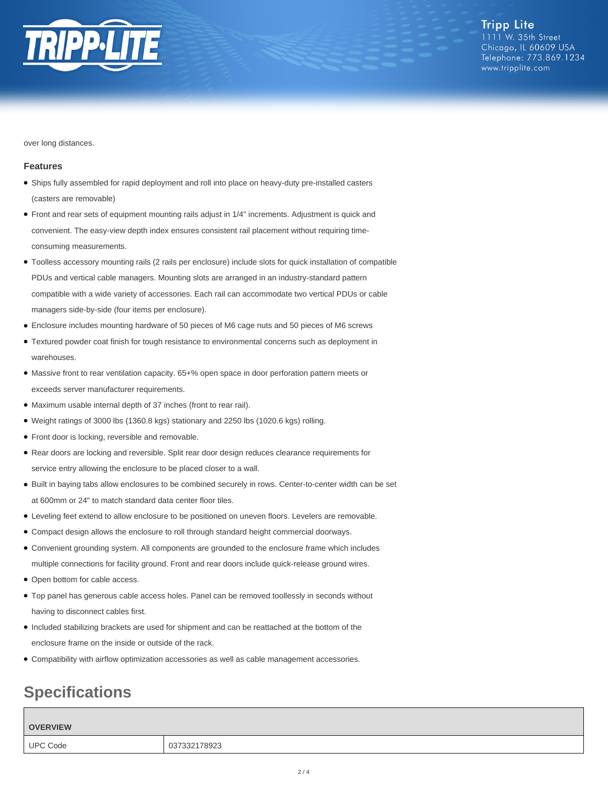

over long distances.

#### **Features**

- Ships fully assembled for rapid deployment and roll into place on heavy-duty pre-installed casters (casters are removable)
- Front and rear sets of equipment mounting rails adjust in 1/4" increments. Adjustment is quick and convenient. The easy-view depth index ensures consistent rail placement without requiring timeconsuming measurements.
- Toolless accessory mounting rails (2 rails per enclosure) include slots for quick installation of compatible PDUs and vertical cable managers. Mounting slots are arranged in an industry-standard pattern compatible with a wide variety of accessories. Each rail can accommodate two vertical PDUs or cable managers side-by-side (four items per enclosure).
- Enclosure includes mounting hardware of 50 pieces of M6 cage nuts and 50 pieces of M6 screws
- Textured powder coat finish for tough resistance to environmental concerns such as deployment in warehouses.
- Massive front to rear ventilation capacity. 65+% open space in door perforation pattern meets or exceeds server manufacturer requirements.
- Maximum usable internal depth of 37 inches (front to rear rail).
- Weight ratings of 3000 lbs (1360.8 kgs) stationary and 2250 lbs (1020.6 kgs) rolling.
- Front door is locking, reversible and removable.
- Rear doors are locking and reversible. Split rear door design reduces clearance requirements for service entry allowing the enclosure to be placed closer to a wall.
- Built in baying tabs allow enclosures to be combined securely in rows. Center-to-center width can be set at 600mm or 24" to match standard data center floor tiles.
- Leveling feet extend to allow enclosure to be positioned on uneven floors. Levelers are removable.
- Compact design allows the enclosure to roll through standard height commercial doorways.
- Convenient grounding system. All components are grounded to the enclosure frame which includes multiple connections for facility ground. Front and rear doors include quick-release ground wires.
- Open bottom for cable access.
- Top panel has generous cable access holes. Panel can be removed toollessly in seconds without having to disconnect cables first.
- Included stabilizing brackets are used for shipment and can be reattached at the bottom of the enclosure frame on the inside or outside of the rack.
- Compatibility with airflow optimization accessories as well as cable management accessories.

# **Specifications**

#### **OVERVIEW**

UPC Code 037332178923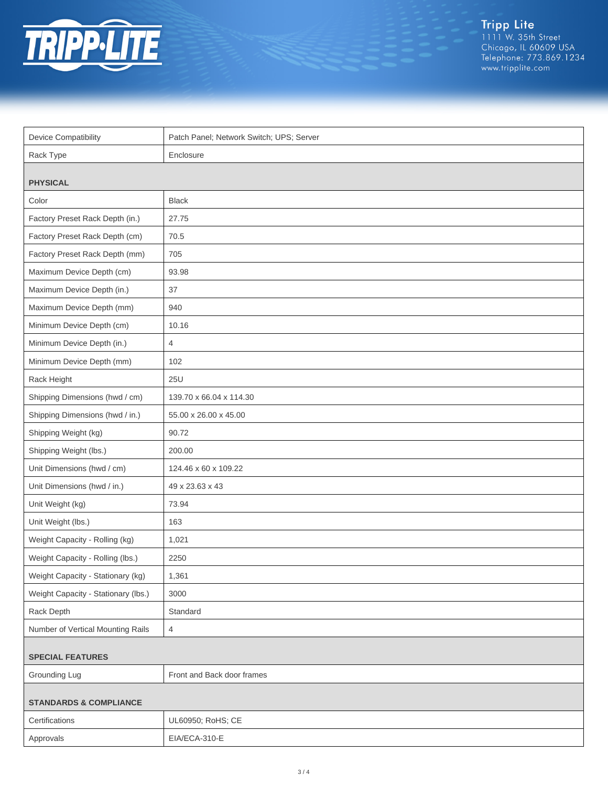

Tripp Lite<br>1111 W. 35th Street<br>Chicago, IL 60609 USA<br>Telephone: 773.869.1234<br>www.tripplite.com

| <b>Device Compatibility</b>         | Patch Panel; Network Switch; UPS; Server |  |
|-------------------------------------|------------------------------------------|--|
| Rack Type                           | Enclosure                                |  |
|                                     |                                          |  |
| <b>PHYSICAL</b>                     |                                          |  |
| Color                               | <b>Black</b>                             |  |
| Factory Preset Rack Depth (in.)     | 27.75                                    |  |
| Factory Preset Rack Depth (cm)      | 70.5                                     |  |
| Factory Preset Rack Depth (mm)      | 705                                      |  |
| Maximum Device Depth (cm)           | 93.98                                    |  |
| Maximum Device Depth (in.)          | 37                                       |  |
| Maximum Device Depth (mm)           | 940                                      |  |
| Minimum Device Depth (cm)           | 10.16                                    |  |
| Minimum Device Depth (in.)          | 4                                        |  |
| Minimum Device Depth (mm)           | 102                                      |  |
| Rack Height                         | 25U                                      |  |
| Shipping Dimensions (hwd / cm)      | 139.70 x 66.04 x 114.30                  |  |
| Shipping Dimensions (hwd / in.)     | 55.00 x 26.00 x 45.00                    |  |
| Shipping Weight (kg)                | 90.72                                    |  |
| Shipping Weight (lbs.)              | 200.00                                   |  |
| Unit Dimensions (hwd / cm)          | 124.46 x 60 x 109.22                     |  |
| Unit Dimensions (hwd / in.)         | 49 x 23.63 x 43                          |  |
| Unit Weight (kg)                    | 73.94                                    |  |
| Unit Weight (lbs.)                  | 163                                      |  |
| Weight Capacity - Rolling (kg)      | 1,021                                    |  |
| Weight Capacity - Rolling (lbs.)    | 2250                                     |  |
| Weight Capacity - Stationary (kg)   | 1,361                                    |  |
| Weight Capacity - Stationary (lbs.) | 3000                                     |  |
| Rack Depth                          | Standard                                 |  |
| Number of Vertical Mounting Rails   | $\overline{4}$                           |  |
|                                     |                                          |  |
| <b>SPECIAL FEATURES</b>             |                                          |  |
| Grounding Lug                       | Front and Back door frames               |  |
| <b>STANDARDS &amp; COMPLIANCE</b>   |                                          |  |
| Certifications                      | UL60950; RoHS; CE                        |  |
| Approvals                           | EIA/ECA-310-E                            |  |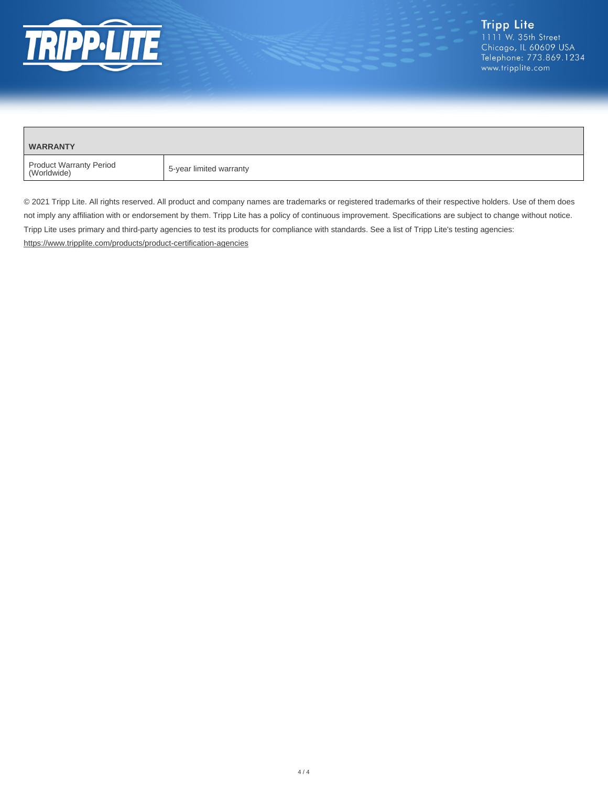

| <b>WARRANTY</b>                        |                         |
|----------------------------------------|-------------------------|
| Product Warranty Period<br>(Worldwide) | 5-year limited warranty |

© 2021 Tripp Lite. All rights reserved. All product and company names are trademarks or registered trademarks of their respective holders. Use of them does not imply any affiliation with or endorsement by them. Tripp Lite has a policy of continuous improvement. Specifications are subject to change without notice. Tripp Lite uses primary and third-party agencies to test its products for compliance with standards. See a list of Tripp Lite's testing agencies: <https://www.tripplite.com/products/product-certification-agencies>